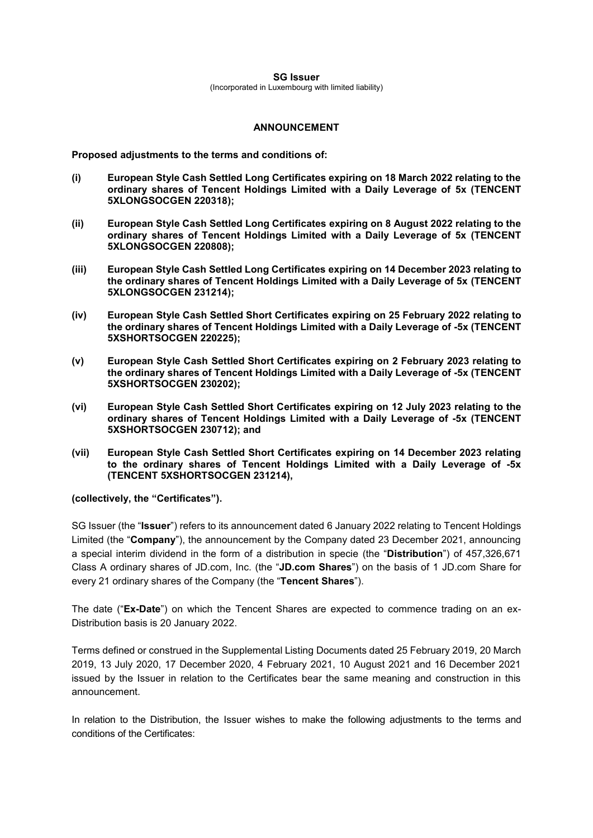## **SG Issuer** (Incorporated in Luxembourg with limited liability)

## **ANNOUNCEMENT**

**Proposed adjustments to the terms and conditions of:**

- **(i) European Style Cash Settled Long Certificates expiring on 18 March 2022 relating to the ordinary shares of Tencent Holdings Limited with a Daily Leverage of 5x (TENCENT 5XLONGSOCGEN 220318);**
- **(ii) European Style Cash Settled Long Certificates expiring on 8 August 2022 relating to the ordinary shares of Tencent Holdings Limited with a Daily Leverage of 5x (TENCENT 5XLONGSOCGEN 220808);**
- **(iii) European Style Cash Settled Long Certificates expiring on 14 December 2023 relating to the ordinary shares of Tencent Holdings Limited with a Daily Leverage of 5x (TENCENT 5XLONGSOCGEN 231214);**
- **(iv) European Style Cash Settled Short Certificates expiring on 25 February 2022 relating to the ordinary shares of Tencent Holdings Limited with a Daily Leverage of -5x (TENCENT 5XSHORTSOCGEN 220225);**
- **(v) European Style Cash Settled Short Certificates expiring on 2 February 2023 relating to the ordinary shares of Tencent Holdings Limited with a Daily Leverage of -5x (TENCENT 5XSHORTSOCGEN 230202);**
- **(vi) European Style Cash Settled Short Certificates expiring on 12 July 2023 relating to the ordinary shares of Tencent Holdings Limited with a Daily Leverage of -5x (TENCENT 5XSHORTSOCGEN 230712); and**
- **(vii) European Style Cash Settled Short Certificates expiring on 14 December 2023 relating to the ordinary shares of Tencent Holdings Limited with a Daily Leverage of -5x (TENCENT 5XSHORTSOCGEN 231214),**

## **(collectively, the "Certificates").**

SG Issuer (the "**Issuer**") refers to its announcement dated 6 January 2022 relating to Tencent Holdings Limited (the "**Company**"), the announcement by the Company dated 23 December 2021, announcing a special interim dividend in the form of a distribution in specie (the "**Distribution**") of 457,326,671 Class A ordinary shares of JD.com, Inc. (the "**JD.com Shares**") on the basis of 1 JD.com Share for every 21 ordinary shares of the Company (the "**Tencent Shares**").

The date ("**Ex-Date**") on which the Tencent Shares are expected to commence trading on an ex-Distribution basis is 20 January 2022.

Terms defined or construed in the Supplemental Listing Documents dated 25 February 2019, 20 March 2019, 13 July 2020, 17 December 2020, 4 February 2021, 10 August 2021 and 16 December 2021 issued by the Issuer in relation to the Certificates bear the same meaning and construction in this announcement.

In relation to the Distribution, the Issuer wishes to make the following adjustments to the terms and conditions of the Certificates: